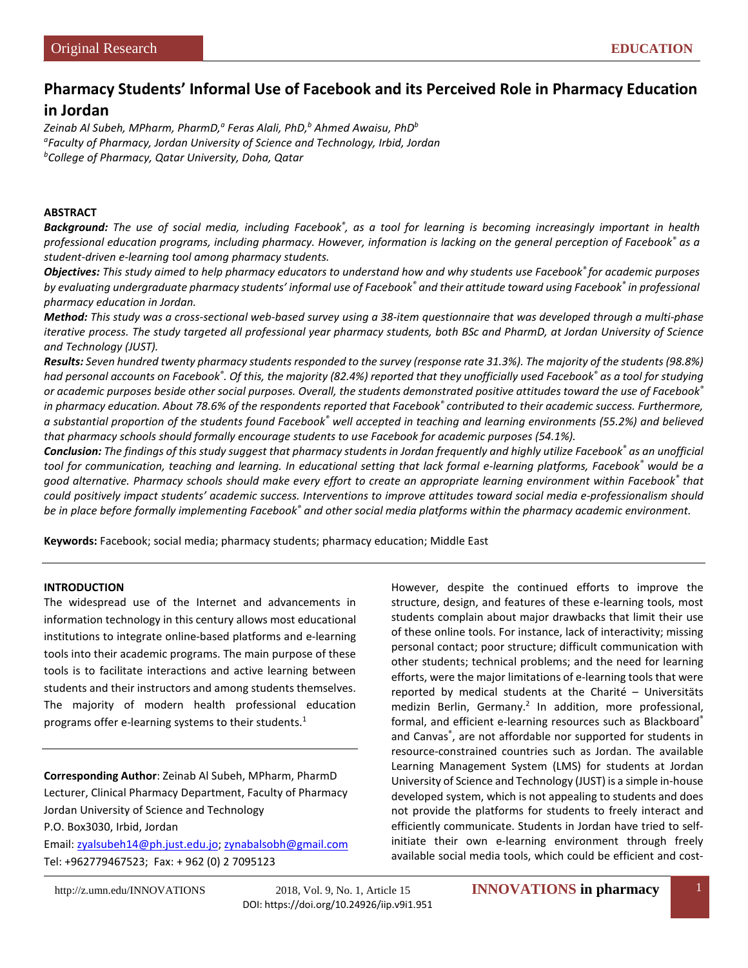# **Pharmacy Students' Informal Use of Facebook and its Perceived Role in Pharmacy Education**

# **in Jordan**

Zeinab Al Subeh, MPharm, PharmD,<sup>a</sup> Feras Alali, PhD,<sup>b</sup> Ahmed Awaisu, PhD<sup>b</sup> *a Faculty of Pharmacy, Jordan University of Science and Technology, Irbid, Jordan b College of Pharmacy, Qatar University, Doha, Qatar*

#### **ABSTRACT**

*Background: The use of social media, including Facebook® , as a tool for learning is becoming increasingly important in health professional education programs, including pharmacy. However, information is lacking on the general perception of Facebook® as a student-driven e-learning tool among pharmacy students.*

*Objectives: This study aimed to help pharmacy educators to understand how and why students use Facebook® for academic purposes by evaluating undergraduate pharmacy students' informal use of Facebook® and their attitude toward using Facebook® in professional pharmacy education in Jordan.* 

*Method: This study was a cross-sectional web-based survey using a 38-item questionnaire that was developed through a multi-phase iterative process. The study targeted all professional year pharmacy students, both BSc and PharmD, at Jordan University of Science and Technology (JUST).* 

*Results: Seven hundred twenty pharmacy students responded to the survey (response rate 31.3%). The majority of the students (98.8%) had personal accounts on Facebook® . Of this, the majority (82.4%) reported that they unofficially used Facebook® as a tool for studying or academic purposes beside other social purposes. Overall, the students demonstrated positive attitudes toward the use of Facebook® in pharmacy education. About 78.6% of the respondents reported that Facebook® contributed to their academic success. Furthermore, a substantial proportion of the students found Facebook® well accepted in teaching and learning environments (55.2%) and believed that pharmacy schools should formally encourage students to use Facebook for academic purposes (54.1%).* 

*Conclusion: The findings of this study suggest that pharmacy students in Jordan frequently and highly utilize Facebook® as an unofficial tool for communication, teaching and learning. In educational setting that lack formal e-learning platforms, Facebook® would be a good alternative. Pharmacy schools should make every effort to create an appropriate learning environment within Facebook® that could positively impact students' academic success. Interventions to improve attitudes toward social media e-professionalism should be in place before formally implementing Facebook® and other social media platforms within the pharmacy academic environment.*

**Keywords:** Facebook; social media; pharmacy students; pharmacy education; Middle East

## **INTRODUCTION**

The widespread use of the Internet and advancements in information technology in this century allows most educational institutions to integrate online-based platforms and e-learning tools into their academic programs. The main purpose of these tools is to facilitate interactions and active learning between students and their instructors and among students themselves. The majority of modern health professional education programs offer e-learning systems to their students.<sup>1</sup>

**Corresponding Author**: Zeinab Al Subeh, MPharm, PharmD Lecturer, Clinical Pharmacy Department, Faculty of Pharmacy Jordan University of Science and Technology

P.O. Box3030, Irbid, Jordan Email: [zyalsubeh14@ph.just.edu.jo;](mailto:zyalsubeh14@ph.just.edu.jo) [zynabalsobh@gmail.com](mailto:zynabalsobh@gmail.com) Tel: +962779467523; Fax: + 962 (0) 2 7095123

However, despite the continued efforts to improve the structure, design, and features of these e-learning tools, most students complain about major drawbacks that limit their use of these online tools. For instance, lack of interactivity; missing personal contact; poor structure; difficult communication with other students; technical problems; and the need for learning efforts, were the major limitations of e-learning tools that were reported by medical students at the Charité – Universitäts medizin Berlin, Germany.<sup>2</sup> In addition, more professional, formal, and efficient e-learning resources such as Blackboard® and Canvas® , are not affordable nor supported for students in resource-constrained countries such as Jordan. The available Learning Management System (LMS) for students at Jordan University of Science and Technology (JUST) is a simple in-house developed system, which is not appealing to students and does not provide the platforms for students to freely interact and efficiently communicate. Students in Jordan have tried to selfinitiate their own e-learning environment through freely available social media tools, which could be efficient and cost-

DOI[: https://doi.org/10.24926/iip.v9i1.951](https://doi.org/10.24926/iip.v9i1.951)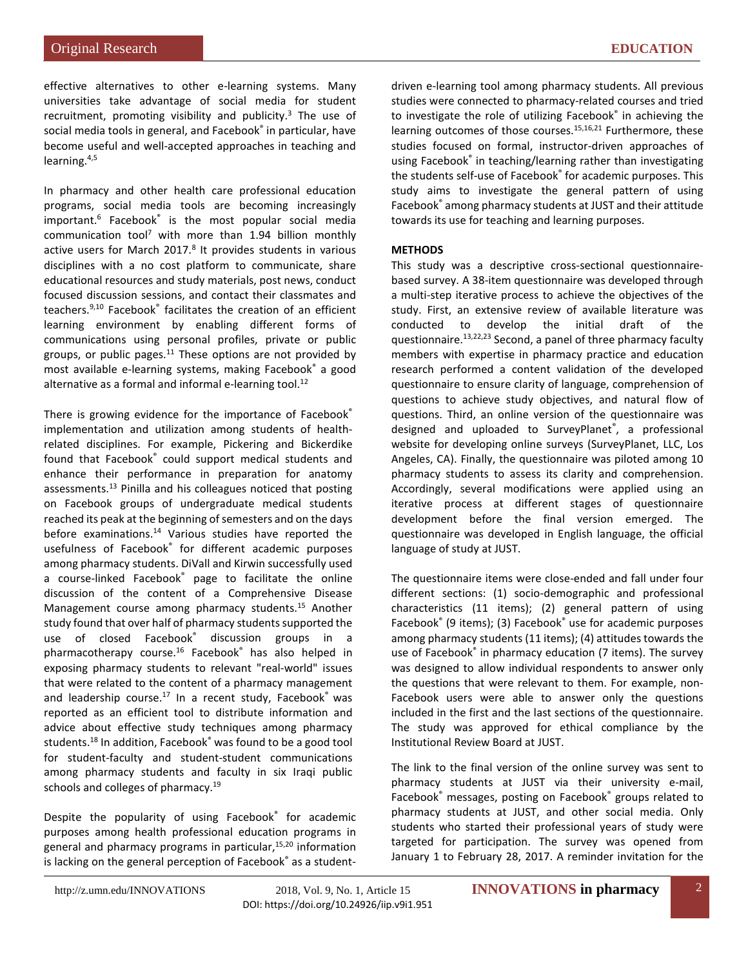effective alternatives to other e-learning systems. Many universities take advantage of social media for student recruitment, promoting visibility and publicity. $3$  The use of social media tools in general, and Facebook® in particular, have become useful and well-accepted approaches in teaching and learning.4,5

In pharmacy and other health care professional education programs, social media tools are becoming increasingly important.<sup>6</sup> Facebook<sup>®</sup> is the most popular social media communication tool<sup>7</sup> with more than  $1.94$  billion monthly active users for March 2017. $8$  It provides students in various disciplines with a no cost platform to communicate, share educational resources and study materials, post news, conduct focused discussion sessions, and contact their classmates and teachers.<sup>9,[10](#page-5-1)</sup> Facebook<sup>®</sup> facilitates the creation of an efficient learning environment by enabling different forms of communications using personal profiles, private or public groups, or public pages. $11$  These options are not provided by most available e-learning systems, making Facebook® a good alternative as a formal and informal e-learning tool. $^{12}$ 

There is growing evidence for the importance of Facebook® implementation and utilization among students of healthrelated disciplines. For example, Pickering and Bickerdike found that Facebook® could support medical students and enhance their performance in preparation for anatomy assessments[.13](#page-5-4) Pinilla and his colleagues noticed that posting on Facebook groups of undergraduate medical students reached its peak at the beginning of semesters and on the days before examinations.<sup>14</sup> Various studies have reported the usefulness of Facebook® for different academic purposes among pharmacy students. DiVall and Kirwin successfully used a course-linked Facebook<sup>®</sup> page to facilitate the online discussion of the content of a Comprehensive Disease Management course among pharmacy students.<sup>15</sup> Another study found that over half of pharmacy students supported the use of closed Facebook® discussion groups in a pharmacotherapy course.<sup>16</sup> Facebook® has also helped in exposing pharmacy students to relevant "real-world" issues that were related to the content of a pharmacy management and leadership course. $17$  In a recent study, Facebook® was reported as an efficient tool to distribute information and advice about effective study techniques among pharmacy students.<sup>18</sup> In addition, Facebook<sup>®</sup> was found to be a good tool for student-faculty and student-student communications among pharmacy students and faculty in six Iraqi public schools and colleges of pharmacy.<sup>19</sup>

Despite the popularity of using Facebook® for academic purposes among health professional education programs in general and pharmacy programs in particular, $15,20$  $15,20$  information is lacking on the general perception of Facebook® as a studentdriven e-learning tool among pharmacy students. All previous studies were connected to pharmacy-related courses and tried to investigate the role of utilizing Facebook® in achieving the learning outcomes of those courses.<sup>15,[16,](#page-5-7)[21](#page-5-12)</sup> Furthermore, these studies focused on formal, instructor-driven approaches of using Facebook® in teaching/learning rather than investigating the students self-use of Facebook® for academic purposes. This study aims to investigate the general pattern of using Facebook® among pharmacy students at JUST and their attitude towards its use for teaching and learning purposes.

## **METHODS**

This study was a descriptive cross-sectional questionnairebased survey. A 38-item questionnaire was developed through a multi-step iterative process to achieve the objectives of the study. First, an extensive review of available literature was conducted to develop the initial draft of the questionnaire.<sup>13,[22,](#page-5-13)[23](#page-5-14)</sup> Second, a panel of three pharmacy faculty members with expertise in pharmacy practice and education research performed a content validation of the developed questionnaire to ensure clarity of language, comprehension of questions to achieve study objectives, and natural flow of questions. Third, an online version of the questionnaire was designed and uploaded to SurveyPlanet® , a professional website for developing online surveys (SurveyPlanet, LLC, Los Angeles, CA). Finally, the questionnaire was piloted among 10 pharmacy students to assess its clarity and comprehension. Accordingly, several modifications were applied using an iterative process at different stages of questionnaire development before the final version emerged. The questionnaire was developed in English language, the official language of study at JUST.

The questionnaire items were close-ended and fall under four different sections: (1) socio-demographic and professional characteristics (11 items); (2) general pattern of using Facebook® (9 items); (3) Facebook® use for academic purposes among pharmacy students (11 items); (4) attitudes towards the use of Facebook® in pharmacy education (7 items). The survey was designed to allow individual respondents to answer only the questions that were relevant to them. For example, non-Facebook users were able to answer only the questions included in the first and the last sections of the questionnaire. The study was approved for ethical compliance by the Institutional Review Board at JUST.

The link to the final version of the online survey was sent to pharmacy students at JUST via their university e-mail, Facebook® messages, posting on Facebook® groups related to pharmacy students at JUST, and other social media. Only students who started their professional years of study were targeted for participation. The survey was opened from January 1 to February 28, 2017. A reminder invitation for the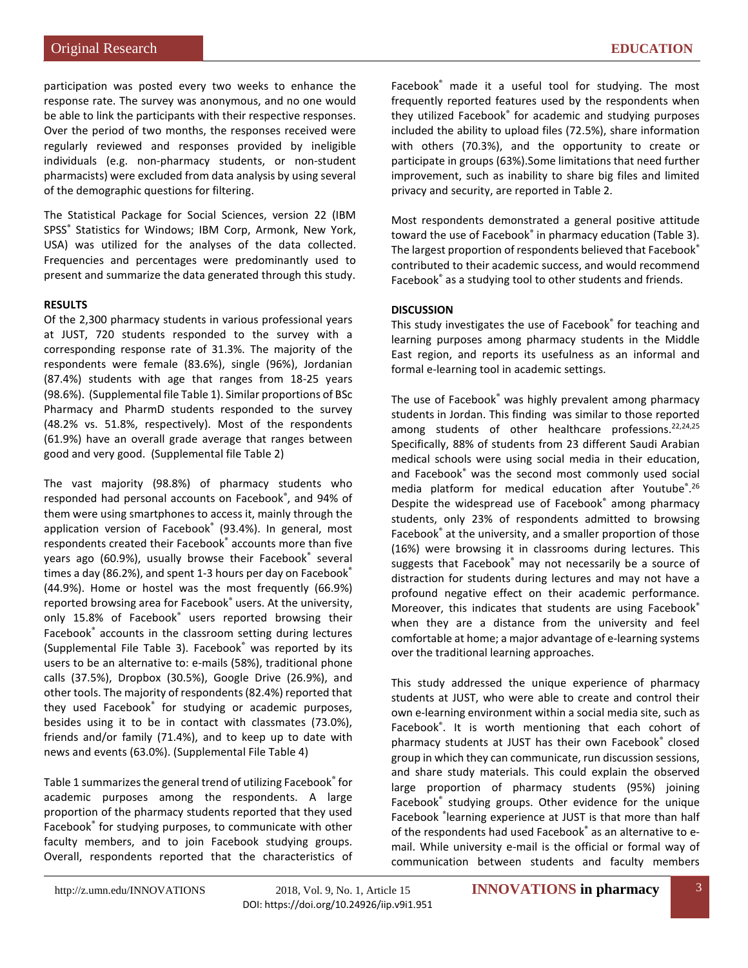participation was posted every two weeks to enhance the response rate. The survey was anonymous, and no one would be able to link the participants with their respective responses. Over the period of two months, the responses received were regularly reviewed and responses provided by ineligible individuals (e.g. non-pharmacy students, or non-student pharmacists) were excluded from data analysis by using several of the demographic questions for filtering.

The Statistical Package for Social Sciences, version 22 (IBM SPSS<sup>®</sup> Statistics for Windows; IBM Corp, Armonk, New York, USA) was utilized for the analyses of the data collected. Frequencies and percentages were predominantly used to present and summarize the data generated through this study.

#### **RESULTS**

Of the 2,300 pharmacy students in various professional years at JUST, 720 students responded to the survey with a corresponding response rate of 31.3%. The majority of the respondents were female (83.6%), single (96%), Jordanian (87.4%) students with age that ranges from 18-25 years (98.6%). (Supplemental file Table 1). Similar proportions of BSc Pharmacy and PharmD students responded to the survey (48.2% vs. 51.8%, respectively). Most of the respondents (61.9%) have an overall grade average that ranges between good and very good. (Supplemental file Table 2)

The vast majority (98.8%) of pharmacy students who responded had personal accounts on Facebook® , and 94% of them were using smartphones to access it, mainly through the application version of Facebook® (93.4%). In general, most respondents created their Facebook® accounts more than five years ago (60.9%), usually browse their Facebook® several times a day (86.2%), and spent 1-3 hours per day on Facebook® (44.9%). Home or hostel was the most frequently (66.9%) reported browsing area for Facebook® users. At the university, only 15.8% of Facebook® users reported browsing their Facebook® accounts in the classroom setting during lectures (Supplemental File Table 3). Facebook® was reported by its users to be an alternative to: e-mails (58%), traditional phone calls (37.5%), Dropbox (30.5%), Google Drive (26.9%), and other tools. The majority of respondents (82.4%) reported that they used Facebook® for studying or academic purposes, besides using it to be in contact with classmates (73.0%), friends and/or family (71.4%), and to keep up to date with news and events (63.0%). (Supplemental File Table 4)

Table 1 summarizes the general trend of utilizing Facebook® for academic purposes among the respondents. A large proportion of the pharmacy students reported that they used Facebook® for studying purposes, to communicate with other faculty members, and to join Facebook studying groups. Overall, respondents reported that the characteristics of Facebook® made it a useful tool for studying. The most frequently reported features used by the respondents when they utilized Facebook® for academic and studying purposes included the ability to upload files (72.5%), share information with others (70.3%), and the opportunity to create or participate in groups (63%).Some limitations that need further improvement, such as inability to share big files and limited privacy and security, are reported in Table 2.

Most respondents demonstrated a general positive attitude toward the use of Facebook<sup>®</sup> in pharmacy education (Table 3). The largest proportion of respondents believed that Facebook® contributed to their academic success, and would recommend Facebook® as a studying tool to other students and friends.

#### **DISCUSSION**

This study investigates the use of Facebook® for teaching and learning purposes among pharmacy students in the Middle East region, and reports its usefulness as an informal and formal e-learning tool in academic settings.

The use of Facebook® was highly prevalent among pharmacy students in Jordan. This finding was similar to those reported among students of other healthcare professions.<sup>22,[24,](#page-5-15)[25](#page-5-16)</sup> Specifically, 88% of students from 23 different Saudi Arabian medical schools were using social media in their education, and Facebook® was the second most commonly used social media platform for medical education after Youtube<sup>®</sup>.<sup>[26](#page-5-17)</sup> Despite the widespread use of Facebook® among pharmacy students, only 23% of respondents admitted to browsing Facebook<sup>®</sup> at the university, and a smaller proportion of those (16%) were browsing it in classrooms during lectures. This suggests that Facebook® may not necessarily be a source of distraction for students during lectures and may not have a profound negative effect on their academic performance. Moreover, this indicates that students are using Facebook® when they are a distance from the university and feel comfortable at home; a major advantage of e-learning systems over the traditional learning approaches.

This study addressed the unique experience of pharmacy students at JUST, who were able to create and control their own e-learning environment within a social media site, such as Facebook® . It is worth mentioning that each cohort of pharmacy students at JUST has their own Facebook® closed group in which they can communicate, run discussion sessions, and share study materials. This could explain the observed large proportion of pharmacy students (95%) joining Facebook® studying groups. Other evidence for the unique Facebook ® learning experience at JUST is that more than half of the respondents had used Facebook® as an alternative to email. While university e-mail is the official or formal way of communication between students and faculty members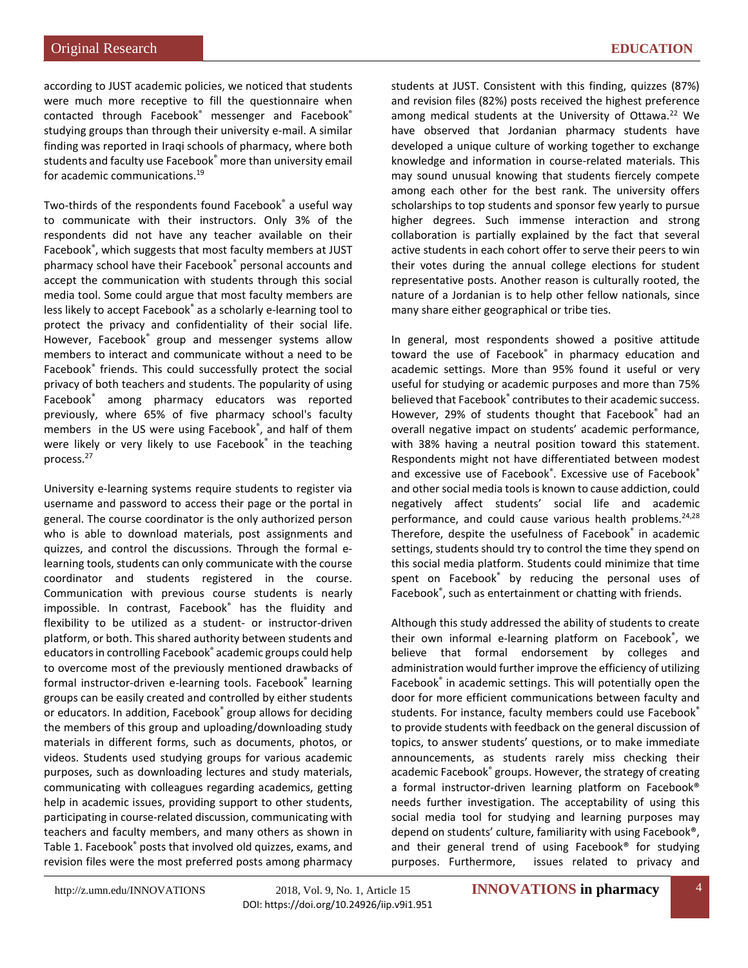according to JUST academic policies, we noticed that students were much more receptive to fill the questionnaire when contacted through Facebook® messenger and Facebook® studying groups than through their university e-mail. A similar finding was reported in Iraqi schools of pharmacy, where both students and faculty use Facebook® more than university email for academic communications[.19](#page-5-10)

Two-thirds of the respondents found Facebook® a useful way to communicate with their instructors. Only 3% of the respondents did not have any teacher available on their Facebook® , which suggests that most faculty members at JUST pharmacy school have their Facebook® personal accounts and accept the communication with students through this social media tool. Some could argue that most faculty members are less likely to accept Facebook® as a scholarly e-learning tool to protect the privacy and confidentiality of their social life. However, Facebook® group and messenger systems allow members to interact and communicate without a need to be Facebook® friends. This could successfully protect the social privacy of both teachers and students. The popularity of using Facebook® among pharmacy educators was reported previously, where 65% of five pharmacy school's faculty members in the US were using Facebook® , and half of them were likely or very likely to use Facebook® in the teaching proces[s.27](#page-5-18) 

University e-learning systems require students to register via username and password to access their page or the portal in general. The course coordinator is the only authorized person who is able to download materials, post assignments and quizzes, and control the discussions. Through the formal elearning tools, students can only communicate with the course coordinator and students registered in the course. Communication with previous course students is nearly impossible. In contrast, Facebook® has the fluidity and flexibility to be utilized as a student- or instructor-driven platform, or both. This shared authority between students and educators in controlling Facebook® academic groups could help to overcome most of the previously mentioned drawbacks of formal instructor-driven e-learning tools. Facebook® learning groups can be easily created and controlled by either students or educators. In addition, Facebook® group allows for deciding the members of this group and uploading/downloading study materials in different forms, such as documents, photos, or videos. Students used studying groups for various academic purposes, such as downloading lectures and study materials, communicating with colleagues regarding academics, getting help in academic issues, providing support to other students, participating in course-related discussion, communicating with teachers and faculty members, and many others as shown in Table 1. Facebook® posts that involved old quizzes, exams, and revision files were the most preferred posts among pharmacy

students at JUST. Consistent with this finding, quizzes (87%) and revision files (82%) posts received the highest preference among medical students at the University of Ottawa.<sup>22</sup> We have observed that Jordanian pharmacy students have developed a unique culture of working together to exchange knowledge and information in course-related materials. This may sound unusual knowing that students fiercely compete among each other for the best rank. The university offers scholarships to top students and sponsor few yearly to pursue higher degrees. Such immense interaction and strong collaboration is partially explained by the fact that several active students in each cohort offer to serve their peers to win their votes during the annual college elections for student representative posts. Another reason is culturally rooted, the nature of a Jordanian is to help other fellow nationals, since many share either geographical or tribe ties.

In general, most respondents showed a positive attitude toward the use of Facebook® in pharmacy education and academic settings. More than 95% found it useful or very useful for studying or academic purposes and more than 75% believed that Facebook® contributes to their academic success. However, 29% of students thought that Facebook® had an overall negative impact on students' academic performance, with 38% having a neutral position toward this statement. Respondents might not have differentiated between modest and excessive use of Facebook®. Excessive use of Facebook® and other social media tools is known to cause addiction, could negatively affect students' social life and academic performance, and could cause various health problems.<sup>24,[28](#page-5-19)</sup> Therefore, despite the usefulness of Facebook® in academic settings, students should try to control the time they spend on this social media platform. Students could minimize that time spent on Facebook<sup>®</sup> by reducing the personal uses of Facebook<sup>®</sup>, such as entertainment or chatting with friends.

Although this study addressed the ability of students to create their own informal e-learning platform on Facebook® , we believe that formal endorsement by colleges and administration would further improve the efficiency of utilizing Facebook® in academic settings. This will potentially open the door for more efficient communications between faculty and students. For instance, faculty members could use Facebook® to provide students with feedback on the general discussion of topics, to answer students' questions, or to make immediate announcements, as students rarely miss checking their academic Facebook® groups. However, the strategy of creating a formal instructor-driven learning platform on Facebook® needs further investigation. The acceptability of using this social media tool for studying and learning purposes may depend on students' culture, familiarity with using Facebook®, and their general trend of using Facebook® for studying purposes. Furthermore, issues related to privacy and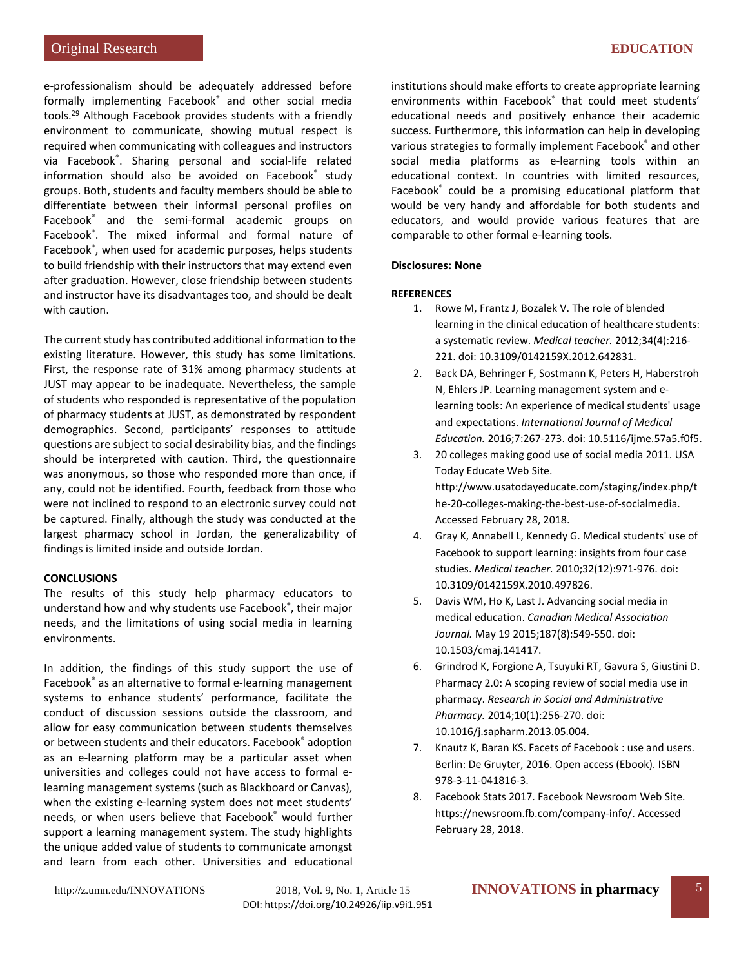e-professionalism should be adequately addressed before formally implementing Facebook® and other social media tool[s.29](#page-5-20) Although Facebook provides students with a friendly environment to communicate, showing mutual respect is required when communicating with colleagues and instructors via Facebook® . Sharing personal and social-life related information should also be avoided on Facebook® study groups. Both, students and faculty members should be able to differentiate between their informal personal profiles on Facebook® and the semi-formal academic groups on Facebook® . The mixed informal and formal nature of Facebook® , when used for academic purposes, helps students to build friendship with their instructors that may extend even after graduation. However, close friendship between students and instructor have its disadvantages too, and should be dealt with caution.

The current study has contributed additional information to the existing literature. However, this study has some limitations. First, the response rate of 31% among pharmacy students at JUST may appear to be inadequate. Nevertheless, the sample of students who responded is representative of the population of pharmacy students at JUST, as demonstrated by respondent demographics. Second, participants' responses to attitude questions are subject to social desirability bias, and the findings should be interpreted with caution. Third, the questionnaire was anonymous, so those who responded more than once, if any, could not be identified. Fourth, feedback from those who were not inclined to respond to an electronic survey could not be captured. Finally, although the study was conducted at the largest pharmacy school in Jordan, the generalizability of findings is limited inside and outside Jordan.

#### **CONCLUSIONS**

The results of this study help pharmacy educators to understand how and why students use Facebook® , their major needs, and the limitations of using social media in learning environments.

In addition, the findings of this study support the use of Facebook® as an alternative to formal e-learning management systems to enhance students' performance, facilitate the conduct of discussion sessions outside the classroom, and allow for easy communication between students themselves or between students and their educators. Facebook® adoption as an e-learning platform may be a particular asset when universities and colleges could not have access to formal elearning management systems (such as Blackboard or Canvas), when the existing e-learning system does not meet students' needs, or when users believe that Facebook® would further support a learning management system. The study highlights the unique added value of students to communicate amongst and learn from each other. Universities and educational

institutions should make efforts to create appropriate learning environments within Facebook® that could meet students' educational needs and positively enhance their academic success. Furthermore, this information can help in developing various strategies to formally implement Facebook® and other social media platforms as e-learning tools within an educational context. In countries with limited resources, Facebook® could be a promising educational platform that would be very handy and affordable for both students and educators, and would provide various features that are comparable to other formal e-learning tools.

#### **Disclosures: None**

#### **REFERENCES**

- <span id="page-4-0"></span>1. Rowe M, Frantz J, Bozalek V. The role of blended learning in the clinical education of healthcare students: a systematic review. *Medical teacher.* 2012;34(4):216- 221. doi: 10.3109/0142159X.2012.642831.
- <span id="page-4-1"></span>2. Back DA, Behringer F, Sostmann K, Peters H, Haberstroh N, Ehlers JP. Learning management system and elearning tools: An experience of medical students' usage and expectations. *International Journal of Medical Education.* 2016;7:267-273. doi: 10.5116/ijme.57a5.f0f5.
- <span id="page-4-2"></span>3. 20 colleges making good use of social media 2011. USA Today Educate Web Site. [http://www.usatodayeducate.com/staging/index.php/t](http://www.usatodayeducate.com/staging/index.php/the-20-colleges-making-the-best-use-of-socialmedia) [he-20-colleges-making-the-best-use-of-socialmedia.](http://www.usatodayeducate.com/staging/index.php/the-20-colleges-making-the-best-use-of-socialmedia) Accessed February 28, 2018.
- 4. Gray K, Annabell L, Kennedy G. Medical students' use of Facebook to support learning: insights from four case studies. *Medical teacher.* 2010;32(12):971-976. doi: 10.3109/0142159X.2010.497826.
- 5. Davis WM, Ho K, Last J. Advancing social media in medical education. *Canadian Medical Association Journal.* May 19 2015;187(8):549-550. doi: 10.1503/cmaj.141417.
- <span id="page-4-3"></span>6. Grindrod K, Forgione A, Tsuyuki RT, Gavura S, Giustini D. Pharmacy 2.0: A scoping review of social media use in pharmacy. *Research in Social and Administrative Pharmacy.* 2014;10(1):256-270. doi: 10.1016/j.sapharm.2013.05.004.
- <span id="page-4-4"></span>7. Knautz K, Baran KS. Facets of Facebook : use and users. Berlin: De Gruyter, 2016. Open access (Ebook). ISBN 978-3-11-041816-3.
- <span id="page-4-5"></span>8. Facebook Stats 2017. Facebook Newsroom Web Site. https://newsroom.fb.com/company-info/. Accessed February 28, 2018.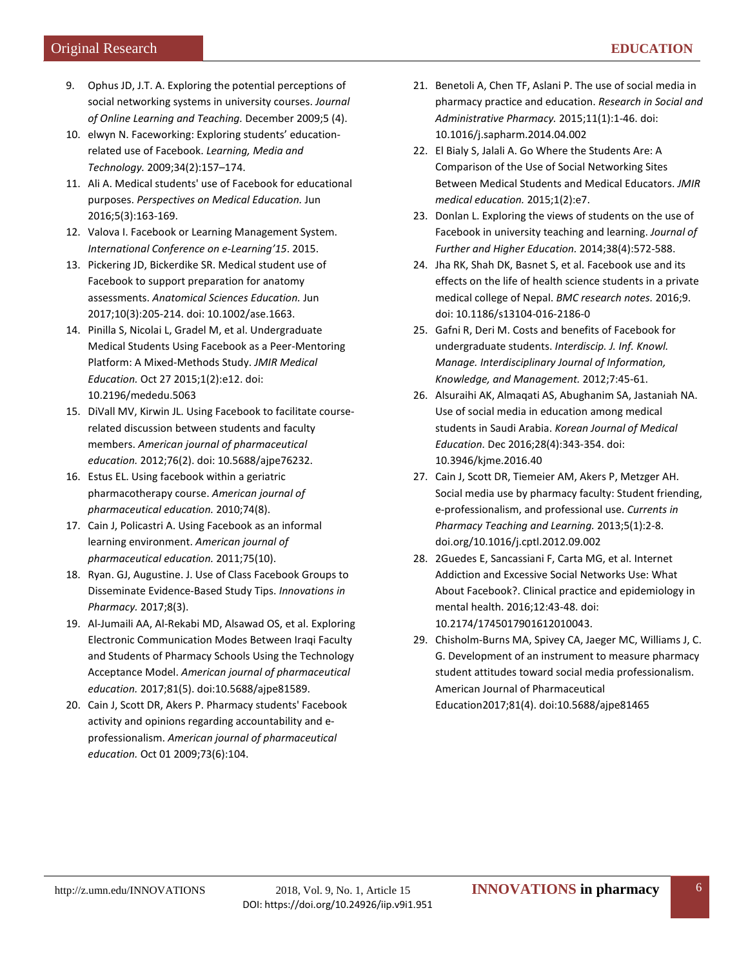- <span id="page-5-0"></span>9. Ophus JD, J.T. A. Exploring the potential perceptions of social networking systems in university courses. *Journal of Online Learning and Teaching.* December 2009;5 (4).
- <span id="page-5-1"></span>10. elwyn N. Faceworking: Exploring students' educationrelated use of Facebook. *Learning, Media and Technology.* 2009;34(2):157–174.
- <span id="page-5-2"></span>11. Ali A. Medical students' use of Facebook for educational purposes. *Perspectives on Medical Education.* Jun 2016;5(3):163-169.
- <span id="page-5-3"></span>12. Valova I. Facebook or Learning Management System. *International Conference on e-Learning'15*. 2015.
- <span id="page-5-4"></span>13. Pickering JD, Bickerdike SR. Medical student use of Facebook to support preparation for anatomy assessments. *Anatomical Sciences Education.* Jun 2017;10(3):205-214. doi: 10.1002/ase.1663.
- <span id="page-5-5"></span>14. Pinilla S, Nicolai L, Gradel M, et al. Undergraduate Medical Students Using Facebook as a Peer-Mentoring Platform: A Mixed-Methods Study. *JMIR Medical Education.* Oct 27 2015;1(2):e12. doi: 10.2196/mededu.5063
- <span id="page-5-6"></span>15. DiVall MV, Kirwin JL. Using Facebook to facilitate courserelated discussion between students and faculty members. *American journal of pharmaceutical education.* 2012;76(2). doi: 10.5688/ajpe76232.
- <span id="page-5-7"></span>16. Estus EL. Using facebook within a geriatric pharmacotherapy course. *American journal of pharmaceutical education.* 2010;74(8).
- <span id="page-5-8"></span>17. Cain J, Policastri A. Using Facebook as an informal learning environment. *American journal of pharmaceutical education.* 2011;75(10).
- <span id="page-5-9"></span>18. Ryan. GJ, Augustine. J. Use of Class Facebook Groups to Disseminate Evidence-Based Study Tips. *Innovations in Pharmacy.* 2017;8(3).
- <span id="page-5-10"></span>19. Al-Jumaili AA, Al-Rekabi MD, Alsawad OS, et al. Exploring Electronic Communication Modes Between Iraqi Faculty and Students of Pharmacy Schools Using the Technology Acceptance Model. *American journal of pharmaceutical education.* 2017;81(5). doi:10.5688/ajpe81589.
- <span id="page-5-11"></span>20. Cain J, Scott DR, Akers P. Pharmacy students' Facebook activity and opinions regarding accountability and eprofessionalism. *American journal of pharmaceutical education.* Oct 01 2009;73(6):104.
- <span id="page-5-12"></span>21. Benetoli A, Chen TF, Aslani P. The use of social media in pharmacy practice and education. *Research in Social and Administrative Pharmacy.* 2015;11(1):1-46. doi: 10.1016/j.sapharm.2014.04.002
- <span id="page-5-13"></span>22. El Bialy S, Jalali A. Go Where the Students Are: A Comparison of the Use of Social Networking Sites Between Medical Students and Medical Educators. *JMIR medical education.* 2015;1(2):e7.
- <span id="page-5-14"></span>23. Donlan L. Exploring the views of students on the use of Facebook in university teaching and learning. *Journal of Further and Higher Education.* 2014;38(4):572-588.
- <span id="page-5-15"></span>24. Jha RK, Shah DK, Basnet S, et al. Facebook use and its effects on the life of health science students in a private medical college of Nepal. *BMC research notes.* 2016;9. doi: 10.1186/s13104-016-2186-0
- <span id="page-5-16"></span>25. Gafni R, Deri M. Costs and benefits of Facebook for undergraduate students. *Interdiscip. J. Inf. Knowl. Manage. Interdisciplinary Journal of Information, Knowledge, and Management.* 2012;7:45-61.
- <span id="page-5-17"></span>26. Alsuraihi AK, Almaqati AS, Abughanim SA, Jastaniah NA. Use of social media in education among medical students in Saudi Arabia. *Korean Journal of Medical Education.* Dec 2016;28(4):343-354. doi: 10.3946/kjme.2016.40
- <span id="page-5-18"></span>27. Cain J, Scott DR, Tiemeier AM, Akers P, Metzger AH. Social media use by pharmacy faculty: Student friending, e-professionalism, and professional use. *Currents in Pharmacy Teaching and Learning.* 2013;5(1):2-8. doi.org/10.1016/j.cptl.2012.09.002
- <span id="page-5-19"></span>28. 2Guedes E, Sancassiani F, Carta MG, et al. Internet Addiction and Excessive Social Networks Use: What About Facebook?. Clinical practice and epidemiology in mental health. 2016;12:43-48. doi: 10.2174/1745017901612010043.
- <span id="page-5-20"></span>29. Chisholm-Burns MA, Spivey CA, Jaeger MC, Williams J, C. G. Development of an instrument to measure pharmacy student attitudes toward social media professionalism. American Journal of Pharmaceutical Education2017;81(4). doi:10.5688/ajpe81465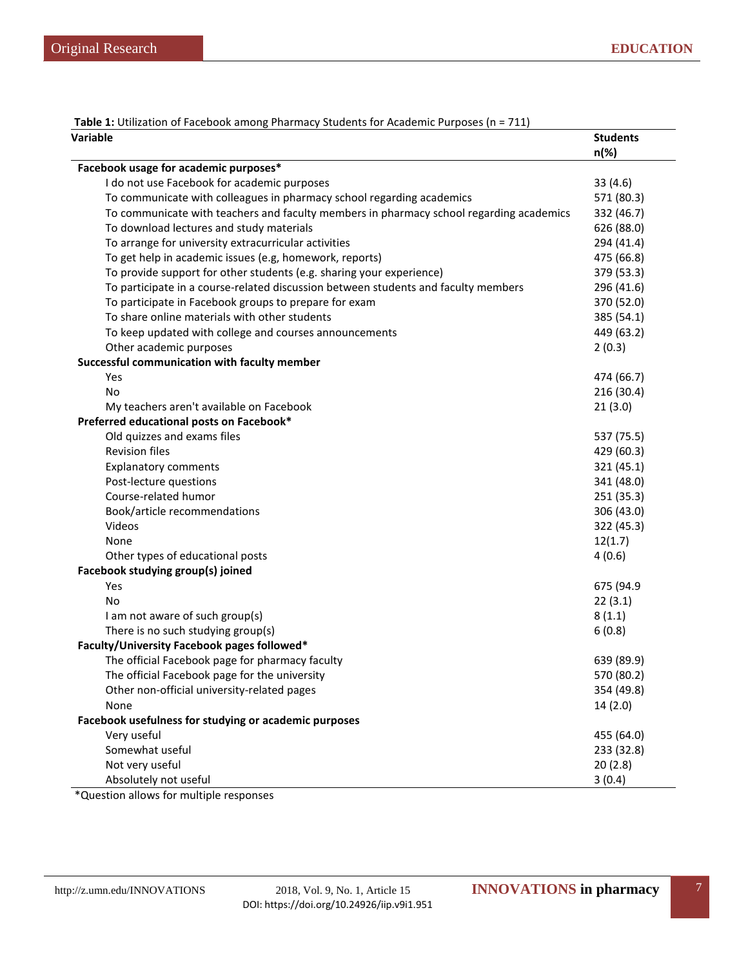| Variable                                                                                | <b>Students</b><br>$n(\%)$ |
|-----------------------------------------------------------------------------------------|----------------------------|
| Facebook usage for academic purposes*                                                   |                            |
| I do not use Facebook for academic purposes                                             | 33(4.6)                    |
| To communicate with colleagues in pharmacy school regarding academics                   | 571 (80.3)                 |
| To communicate with teachers and faculty members in pharmacy school regarding academics | 332 (46.7)                 |
| To download lectures and study materials                                                | 626 (88.0)                 |
| To arrange for university extracurricular activities                                    | 294 (41.4)                 |
| To get help in academic issues (e.g, homework, reports)                                 | 475 (66.8)                 |
| To provide support for other students (e.g. sharing your experience)                    | 379 (53.3)                 |
| To participate in a course-related discussion between students and faculty members      | 296 (41.6)                 |
| To participate in Facebook groups to prepare for exam                                   | 370 (52.0)                 |
| To share online materials with other students                                           | 385 (54.1)                 |
| To keep updated with college and courses announcements                                  | 449 (63.2)                 |
| Other academic purposes                                                                 | 2(0.3)                     |
| Successful communication with faculty member                                            |                            |
| <b>Yes</b>                                                                              | 474 (66.7)                 |
| No                                                                                      | 216 (30.4)                 |
| My teachers aren't available on Facebook                                                | 21(3.0)                    |
| Preferred educational posts on Facebook*                                                |                            |
| Old quizzes and exams files                                                             | 537 (75.5)                 |
| <b>Revision files</b>                                                                   | 429 (60.3)                 |
| <b>Explanatory comments</b>                                                             | 321 (45.1)                 |
| Post-lecture questions                                                                  | 341 (48.0)                 |
| Course-related humor                                                                    | 251 (35.3)                 |
| Book/article recommendations                                                            | 306 (43.0)                 |
| Videos                                                                                  | 322 (45.3)                 |
| None                                                                                    | 12(1.7)                    |
| Other types of educational posts                                                        | 4(0.6)                     |
| Facebook studying group(s) joined                                                       |                            |
| Yes                                                                                     | 675 (94.9                  |
| No                                                                                      | 22(3.1)                    |
| I am not aware of such group(s)                                                         | 8(1.1)                     |
| There is no such studying group(s)                                                      | 6(0.8)                     |
| Faculty/University Facebook pages followed*                                             |                            |
| The official Facebook page for pharmacy faculty                                         | 639 (89.9)                 |
| The official Facebook page for the university                                           | 570 (80.2)                 |
| Other non-official university-related pages                                             | 354 (49.8)                 |
| None                                                                                    | 14(2.0)                    |
| Facebook usefulness for studying or academic purposes                                   |                            |
| Very useful                                                                             | 455 (64.0)                 |
| Somewhat useful                                                                         | 233 (32.8)                 |
| Not very useful                                                                         | 20(2.8)                    |
| Absolutely not useful                                                                   | 3(0.4)                     |

**Table 1:** Utilization of Facebook among Pharmacy Students for Academic Purposes (n = 711)

\*Question allows for multiple responses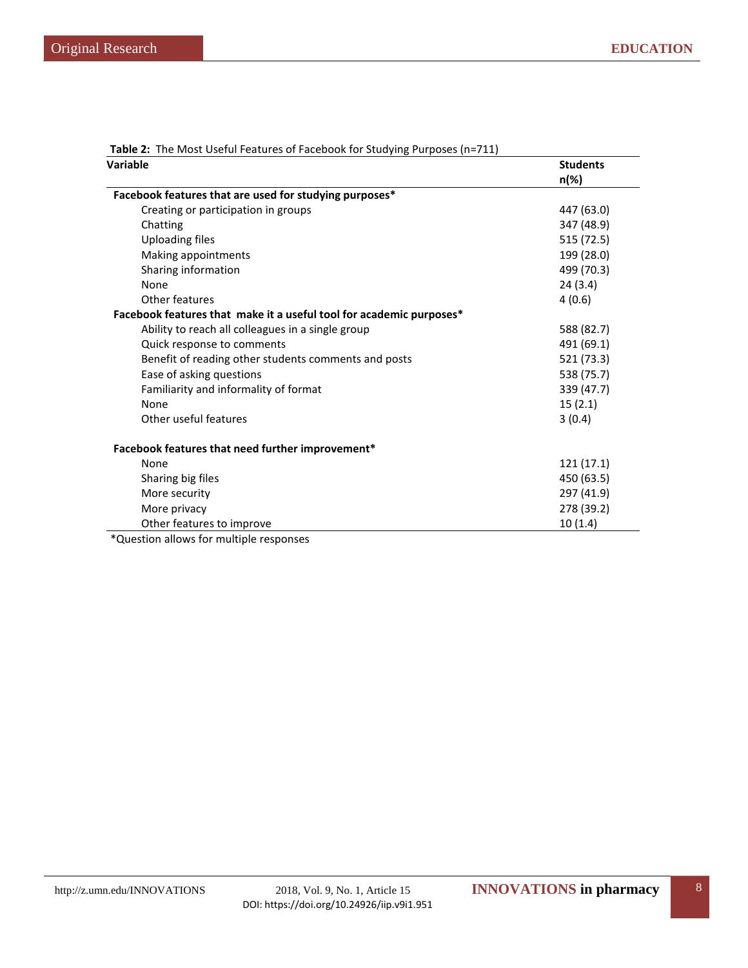| Variable                                                            | <b>Students</b> |  |
|---------------------------------------------------------------------|-----------------|--|
|                                                                     | n(%)            |  |
| Facebook features that are used for studying purposes*              |                 |  |
| Creating or participation in groups                                 | 447 (63.0)      |  |
| Chatting                                                            | 347 (48.9)      |  |
| <b>Uploading files</b>                                              | 515 (72.5)      |  |
| Making appointments                                                 | 199 (28.0)      |  |
| Sharing information                                                 | 499 (70.3)      |  |
| None                                                                | 24(3.4)         |  |
| Other features                                                      | 4(0.6)          |  |
| Facebook features that make it a useful tool for academic purposes* |                 |  |
| Ability to reach all colleagues in a single group                   | 588 (82.7)      |  |
| Quick response to comments                                          | 491 (69.1)      |  |
| Benefit of reading other students comments and posts                | 521 (73.3)      |  |
| Ease of asking questions                                            | 538 (75.7)      |  |
| Familiarity and informality of format                               | 339 (47.7)      |  |
| None                                                                | 15(2.1)         |  |
| Other useful features                                               | 3(0.4)          |  |
| Facebook features that need further improvement*                    |                 |  |
| None                                                                | 121(17.1)       |  |
| Sharing big files                                                   | 450 (63.5)      |  |
| More security                                                       | 297 (41.9)      |  |
| More privacy                                                        | 278 (39.2)      |  |
| Other features to improve                                           | 10(1.4)         |  |
| *Question allows for multiple responses                             |                 |  |

**Table 2:** The Most Useful Features of Facebook for Studying Purposes (n=711)

\*Question allows for multiple responses